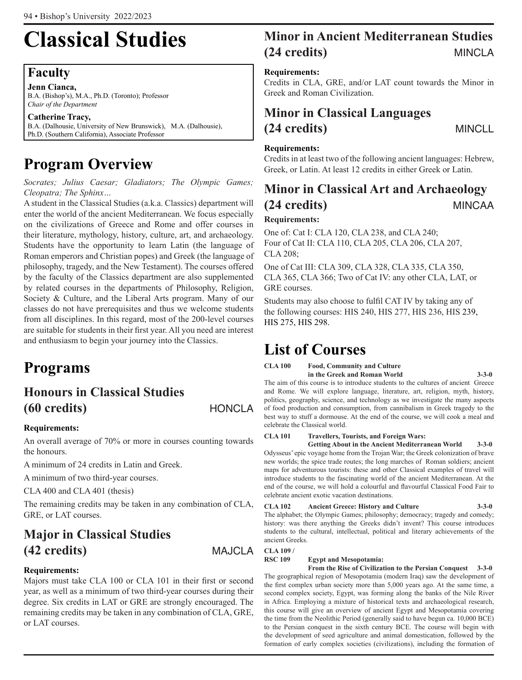# **Classical Studies**

## **Faculty**

**Jenn Cianca,** B.A. (Bishop's), M.A., Ph.D. (Toronto); Professor *Chair of the Department*

**Catherine Tracy,**  B.A. (Dalhousie, University of New Brunswick), M.A. (Dalhousie), Ph.D. (Southern California), Associate Professor

# **Program Overview**

*Socrates; Julius Caesar; Gladiators; The Olympic Games; Cleopatra; The Sphinx…*

A student in the Classical Studies (a.k.a. Classics) department will enter the world of the ancient Mediterranean. We focus especially on the civilizations of Greece and Rome and offer courses in their literature, mythology, history, culture, art, and archaeology. Students have the opportunity to learn Latin (the language of Roman emperors and Christian popes) and Greek (the language of philosophy, tragedy, and the New Testament). The courses offered by the faculty of the Classics department are also supplemented by related courses in the departments of Philosophy, Religion, Society & Culture, and the Liberal Arts program. Many of our classes do not have prerequisites and thus we welcome students from all disciplines. In this regard, most of the 200-level courses are suitable for students in their first year. All you need are interest and enthusiasm to begin your journey into the Classics.

## **Programs**

## **Honours in Classical Studies (60 credits)** HONCLA

## **Requirements:**

An overall average of 70% or more in courses counting towards the honours.

A minimum of 24 credits in Latin and Greek.

A minimum of two third-year courses.

CLA 400 and CLA 401 (thesis)

The remaining credits may be taken in any combination of CLA, GRE, or LAT courses.

## **Major in Classical Studies (42 credits)** MAJCLA

## **Requirements:**

Majors must take CLA 100 or CLA 101 in their first or second year, as well as a minimum of two third-year courses during their degree. Six credits in LAT or GRE are strongly encouraged. The remaining credits may be taken in any combination of CLA, GRE, or LAT courses.

## **Minor in Ancient Mediterranean Studies (24 credits)** MINCLA

## **Requirements:**

Credits in CLA, GRE, and/or LAT count towards the Minor in Greek and Roman Civilization.

## **Minor in Classical Languages (24 credits)** MINCLL

## **Requirements:**

Credits in at least two of the following ancient languages: Hebrew, Greek, or Latin. At least 12 credits in either Greek or Latin.

## **Minor in Classical Art and Archaeology (24 credits)** MINCAA

## **Requirements:**

One of: Cat I: CLA 120, CLA 238, and CLA 240; Four of Cat II: CLA 110, CLA 205, CLA 206, CLA 207, CLA 208;

One of Cat III: CLA 309, CLA 328, CLA 335, CLA 350, CLA 365, CLA 366; Two of Cat IV: any other CLA, LAT, or GRE courses.

Students may also choose to fulfil CAT IV by taking any of the following courses: HIS 240, HIS 277, HIS 236, HIS 239, HIS 275, HIS 298.

## **List of Courses**

**CLA 100 Food, Community and Culture in the Greek and Roman World 3-3-0**

The aim of this course is to introduce students to the cultures of ancient Greece and Rome. We will explore language, literature, art, religion, myth, history, politics, geography, science, and technology as we investigate the many aspects of food production and consumption, from cannibalism in Greek tragedy to the best way to stuff a dormouse. At the end of the course, we will cook a meal and celebrate the Classical world.

### **CLA 101 Travellers, Tourists, and Foreign Wars:**

**Getting About in the Ancient Mediterranean World 3-3-0** Odysseus' epic voyage home from the Trojan War; the Greek colonization of brave new worlds; the spice trade routes; the long marches of Roman soldiers; ancient maps for adventurous tourists: these and other Classical examples of travel will introduce students to the fascinating world of the ancient Mediterranean. At the end of the course, we will hold a colourful and flavourful Classical Food Fair to celebrate ancient exotic vacation destinations.

## **CLA 102 Ancient Greece: History and Culture 3-3-0**

The alphabet; the Olympic Games; philosophy; democracy; tragedy and comedy; history: was there anything the Greeks didn't invent? This course introduces students to the cultural, intellectual, political and literary achievements of the ancient Greeks.

## **CLA 109 /**

### **RSC 109 Egypt and Mesopotamia:**

**From the Rise of Civilization to the Persian Conquest 3-3-0** The geographical region of Mesopotamia (modern Iraq) saw the development of the first complex urban society more than 5,000 years ago. At the same time, a second complex society, Egypt, was forming along the banks of the Nile River in Africa. Employing a mixture of historical texts and archaeological research, this course will give an overview of ancient Egypt and Mesopotamia covering the time from the Neolithic Period (generally said to have begun ca. 10,000 BCE) to the Persian conquest in the sixth century BCE. The course will begin with the development of seed agriculture and animal domestication, followed by the formation of early complex societies (civilizations), including the formation of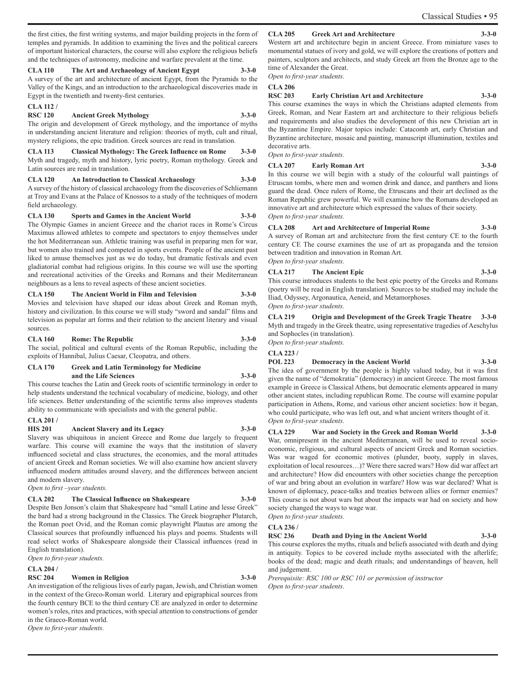the first cities, the first writing systems, and major building projects in the form of temples and pyramids. In addition to examining the lives and the political careers of important historical characters, the course will also explore the religious beliefs and the techniques of astronomy, medicine and warfare prevalent at the time.

#### **CLA 110 The Art and Archaeology of Ancient Egypt 3-3-0**

A survey of the art and architecture of ancient Egypt, from the Pyramids to the Valley of the Kings, and an introduction to the archaeological discoveries made in Egypt in the twentieth and twenty-first centuries.

#### **CLA 112 /**

#### **RSC 120 Ancient Greek Mythology 3-3-0**

The origin and development of Greek mythology, and the importance of myths in understanding ancient literature and religion: theories of myth, cult and ritual, mystery religions, the epic tradition. Greek sources are read in translation.

**CLA 113 Classical Mythology: The Greek Influence on Rome 3-3-0** Myth and tragedy, myth and history, lyric poetry, Roman mythology. Greek and Latin sources are read in translation.

### **CLA 120 An Introduction to Classical Archaeology 3-3-0**

A survey of the history of classical archaeology from the discoveries of Schliemann at Troy and Evans at the Palace of Knossos to a study of the techniques of modern field archaeology.

**CLA 130 Sports and Games in the Ancient World 3-3-0** The Olympic Games in ancient Greece and the chariot races in Rome's Circus Maximus allowed athletes to compete and spectators to enjoy themselves under the hot Mediterranean sun. Athletic training was useful in preparing men for war, but women also trained and competed in sports events. People of the ancient past liked to amuse themselves just as we do today, but dramatic festivals and even gladiatorial combat had religious origins. In this course we will use the sporting and recreational activities of the Greeks and Romans and their Mediterranean neighbours as a lens to reveal aspects of these ancient societies.

**CLA 150 The Ancient World in Film and Television 3-3-0** Movies and television have shaped our ideas about Greek and Roman myth, history and civilization. In this course we will study "sword and sandal" films and television as popular art forms and their relation to the ancient literary and visual sources.

#### **CLA 160 Rome: The Republic 3-3-0**

The social, political and cultural events of the Roman Republic, including the exploits of Hannibal, Julius Caesar, Cleopatra, and others.

#### **CLA 170 Greek and Latin Terminology for Medicine and the Life Sciences 3-3-0**

This course teaches the Latin and Greek roots of scientific terminology in order to help students understand the technical vocabulary of medicine, biology, and other life sciences. Better understanding of the scientific terms also improves students ability to communicate with specialists and with the general public.

#### **CLA 201 /**

#### **HIS 201 Ancient Slavery and its Legacy 3-3-0**

Slavery was ubiquitous in ancient Greece and Rome due largely to frequent warfare. This course will examine the ways that the institution of slavery influenced societal and class structures, the economies, and the moral attitudes of ancient Greek and Roman societies. We will also examine how ancient slavery influenced modern attitudes around slavery, and the differences between ancient and modern slavery.

*Open to first –year students.*

#### **CLA 202 The Classical Influence on Shakespeare 3-3-0**

Despite Ben Jonson's claim that Shakespeare had "small Latine and lesse Greek" the bard had a strong background in the Classics. The Greek biographer Plutarch, the Roman poet Ovid, and the Roman comic playwright Plautus are among the Classical sources that profoundly influenced his plays and poems. Students will read select works of Shakespeare alongside their Classical influences (read in English translation).

*Open to first-year students.*

#### **CLA 204 /**

#### **RSC 204 Women in Religion 3-3-0**

An investigation of the religious lives of early pagan, Jewish, and Christian women in the context of the Greco-Roman world. Literary and epigraphical sources from the fourth century BCE to the third century CE are analyzed in order to determine women's roles, rites and practices, with special attention to constructions of gender in the Graeco-Roman world.

*Open to first-year students.*

#### **CLA 205 Greek Art and Architecture**

Western art and architecture begin in ancient Greece. From miniature vases to monumental statues of ivory and gold, we will explore the creations of potters and painters, sculptors and architects, and study Greek art from the Bronze age to the time of Alexander the Great.

*Open to first-year students.*

## **CLA 206**

#### **RSC 203 Early Christian Art and Architecture 3-3-0**

This course examines the ways in which the Christians adapted elements from Greek, Roman, and Near Eastern art and architecture to their religious beliefs and requirements and also studies the development of this new Christian art in the Byzantine Empire. Major topics include: Catacomb art, early Christian and Byzantine architecture, mosaic and painting, manuscript illumination, textiles and decorative arts.

*Open to first-year students.*

## **CLA 207 Early Roman Art 3-3-0**

In this course we will begin with a study of the colourful wall paintings of Etruscan tombs, where men and women drink and dance, and panthers and lions guard the dead. Once rulers of Rome, the Etruscans and their art declined as the Roman Republic grew powerful. We will examine how the Romans developed an innovative art and architecture which expressed the values of their society. *Open to first-year students.*

## **CLA 208 Art and Architecture of Imperial Rome 3-3-0**

A survey of Roman art and architecture from the first century CE to the fourth century CE The course examines the use of art as propaganda and the tension between tradition and innovation in Roman Art. *Open to first-year students.*

#### **CLA 217 The Ancient Epic 3-3-0**

This course introduces students to the best epic poetry of the Greeks and Romans (poetry will be read in English translation). Sources to be studied may include the Iliad, Odyssey, Argonautica, Aeneid, and Metamorphoses. *Open to first-year students.* 

**CLA 219 Origin and Development of the Greek Tragic Theatre 3-3-0** Myth and tragedy in the Greek theatre, using representative tragedies of Aeschylus and Sophocles (in translation).

*Open to first-year students.*

## **CLA 223 /**

**POL 223 Democracy in the Ancient World 3-3-0**

The idea of government by the people is highly valued today, but it was first given the name of "demokratia" (democracy) in ancient Greece. The most famous example in Greece is Classical Athens, but democratic elements appeared in many other ancient states, including republican Rome. The course will examine popular participation in Athens, Rome, and various other ancient societies: how it began, who could participate, who was left out, and what ancient writers thought of it. *Open to first-year students.*

#### **CLA 229 War and Society in the Greek and Roman World 3-3-0** War, omnipresent in the ancient Mediterranean, will be used to reveal socioeconomic, religious, and cultural aspects of ancient Greek and Roman societies. Was war waged for economic motives (plunder, booty, supply in slaves, exploitation of local resources…)? Were there sacred wars? How did war affect art and architecture? How did encounters with other societies change the perception of war and bring about an evolution in warfare? How was war declared? What is known of diplomacy, peace-talks and treaties between allies or former enemies? This course is not about wars but about the impacts war had on society and how

society changed the ways to wage war. *Open to first-year students.*

#### **CLA 236 /**

**RSC 236 Death and Dying in the Ancient World 3-3-0**

This course explores the myths, rituals and beliefs associated with death and dying in antiquity. Topics to be covered include myths associated with the afterlife; books of the dead; magic and death rituals; and understandings of heaven, hell and judgement.

*Prerequisite: RSC 100 or RSC 101 or permission of instructor Open to first-year students.*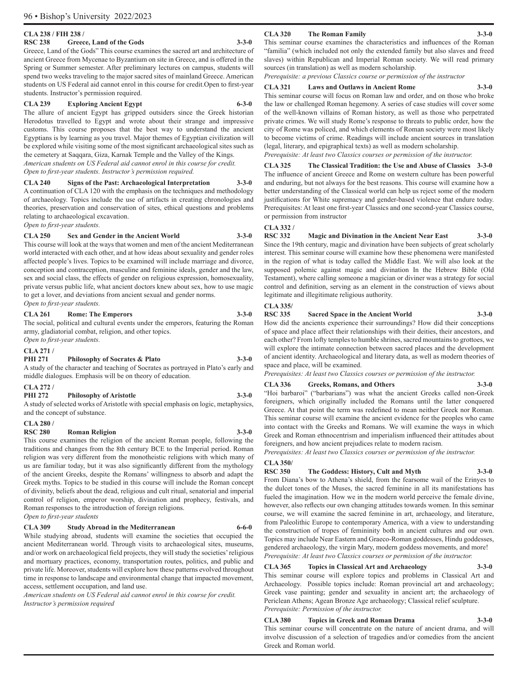#### **CLA 238 / FIH 238 /**

#### **RSC 238 Greece, Land of the Gods 3-3-0**

Greece, Land of the Gods" This course examines the sacred art and architecture of ancient Greece from Mycenae to Byzantium on site in Greece, and is offered in the Spring or Summer semester. After preliminary lectures on campus, students will spend two weeks traveling to the major sacred sites of mainland Greece. American students on US Federal aid cannot enrol in this course for credit.Open to first-year students. Instructor's permission required.

#### **CLA 239 Exploring Ancient Egypt 6-3-0**

The allure of ancient Egypt has gripped outsiders since the Greek historian Herodotus travelled to Egypt and wrote about their strange and impressive customs. This course proposes that the best way to understand the ancient Egyptians is by learning as you travel. Major themes of Egyptian civilization will be explored while visiting some of the most significant archaeological sites such as the cemetery at Saqqara, Giza, Karnak Temple and the Valley of the Kings. *American students on US Federal aid cannot enrol in this course for credit.*

*Open to first-year students. Instructor's permission required.*

**CLA 240 Signs of the Past: Archaeological Interpretation 3-3-0** A continuation of CLA 120 with the emphasis on the techniques and methodology of archaeology. Topics include the use of artifacts in creating chronologies and theories, preservation and conservation of sites, ethical questions and problems relating to archaeological excavation.

*Open to first-year students.*

#### **CLA 250 Sex and Gender in the Ancient World 3-3-0**

This course will look at the ways that women and men of the ancient Mediterranean world interacted with each other, and at how ideas about sexuality and gender roles affected people's lives. Topics to be examined will include marriage and divorce, conception and contraception, masculine and feminine ideals, gender and the law, sex and social class, the effects of gender on religious expression, homosexuality, private versus public life, what ancient doctors knew about sex, how to use magic to get a lover, and deviations from ancient sexual and gender norms. *Open to first-year students.* 

#### **CLA 261 Rome: The Emperors 3-3-0**

The social, political and cultural events under the emperors, featuring the Roman army, gladiatorial combat, religion, and other topics. *Open to first-year students.*

#### **CLA 271 /**

#### **PHI 271 Philosophy of Socrates & Plato 3-3-0**

A study of the character and teaching of Socrates as portrayed in Plato's early and middle dialogues. Emphasis will be on theory of education.

#### **CLA 272 /**

**PHI 272 Philosophy of Aristotle 3-3-0** A study of selected works of Aristotle with special emphasis on logic, metaphysics,

and the concept of substance.

## **CLA 280 /**

#### **RSC 280 Roman Religion 3-3-0**

This course examines the religion of the ancient Roman people, following the traditions and changes from the 8th century BCE to the Imperial period. Roman religion was very different from the monotheistic religions with which many of us are familiar today, but it was also significantly different from the mythology of the ancient Greeks, despite the Romans' willingness to absorb and adapt the Greek myths. Topics to be studied in this course will include the Roman concept of divinity, beliefs about the dead, religious and cult ritual, senatorial and imperial control of religion, emperor worship, divination and prophecy, festivals, and Roman responses to the introduction of foreign religions. *Open to first-year students*

#### **CLA 309 Study Abroad in the Mediterranean 6-6-0**

While studying abroad, students will examine the societies that occupied the ancient Mediterranean world. Through visits to archaeological sites, museums, and/or work on archaeological field projects, they will study the societies' religious and mortuary practices, economy, transportation routes, politics, and public and private life. Moreover, students will explore how these patterns evolved throughout time in response to landscape and environmental change that impacted movement, access, settlement occupation, and land use.

*American students on US Federal aid cannot enrol in this course for credit. Instructor's permission required*

#### **CLA 320 The Roman Family 3-3-0**

#### This seminar course examines the characteristics and influences of the Roman "familia" (which included not only the extended family but also slaves and freed slaves) within Republican and Imperial Roman society. We will read primary sources (in translation) as well as modern scholarship.

*Prerequisite: a previous Classics course or permission of the instructor*

#### **CLA 321 Laws and Outlaws in Ancient Rome 3-3-0**

This seminar course will focus on Roman law and order, and on those who broke the law or challenged Roman hegemony. A series of case studies will cover some of the well-known villains of Roman history, as well as those who perpetrated private crimes. We will study Rome's response to threats to public order, how the city of Rome was policed, and which elements of Roman society were most likely to become victims of crime. Readings will include ancient sources in translation (legal, literary, and epigraphical texts) as well as modern scholarship. *Prerequisite: At least two Classics courses or permission of the instructor.*

**CLA 325 The Classical Tradition: the Use and Abuse of Classics 3-3-0** The influence of ancient Greece and Rome on western culture has been powerful and enduring, but not always for the best reasons. This course will examine how a better understanding of the Classical world can help us reject some of the modern justifications for White supremacy and gender-based violence that endure today. Prerequisites: At least one first-year Classics and one second-year Classics course, or permission from instructor

### **CLA 332 /**

#### **RSC 332 Magic and Divination in the Ancient Near East 3-3-0** Since the 19th century, magic and divination have been subjects of great scholarly interest. This seminar course will examine how these phenomena were manifested in the region of what is today called the Middle East. We will also look at the supposed polemic against magic and divination In the Hebrew Bible (Old Testament), where calling someone a magician or diviner was a strategy for social control and definition, serving as an element in the construction of views about legitimate and illegitimate religious authority.

#### **CLA 335/**

**RSC 335 Sacred Space in the Ancient World 3-3-0**

How did the ancients experience their surroundings? How did their conceptions of space and place affect their relationships with their deities, their ancestors, and each other? From lofty temples to humble shrines, sacred mountains to grottoes, we will explore the intimate connection between sacred places and the development of ancient identity. Archaeological and literary data, as well as modern theories of space and place, will be examined.

*Prerequisites: At least two Classics courses or permission of the instructor.*

#### **CLA 336 Greeks, Romans, and Others 3-3-0**

"Hoi barbaroi" ("barbarians") was what the ancient Greeks called non-Greek foreigners, which originally included the Romans until the latter conquered Greece. At that point the term was redefined to mean neither Greek nor Roman. This seminar course will examine the ancient evidence for the peoples who came into contact with the Greeks and Romans. We will examine the ways in which Greek and Roman ethnocentrism and imperialism influenced their attitudes about foreigners, and how ancient prejudices relate to modern racism.

*Prerequisites: At least two Classics courses or permission of the instructor.*

#### **CLA 350/**

**RSC 350 The Goddess: History, Cult and Myth 3-3-0**

From Diana's bow to Athena's shield, from the fearsome wail of the Erinyes to the dulcet tones of the Muses, the sacred feminine in all its manifestations has fueled the imagination. How we in the modern world perceive the female divine, however, also reflects our own changing attitudes towards women. In this seminar course, we will examine the sacred feminine in art, archaeology, and literature, from Paleolithic Europe to contemporary America, with a view to understanding the construction of tropes of femininity both in ancient cultures and our own. Topics may include Near Eastern and Graeco-Roman goddesses, Hindu goddesses, gendered archaeology, the virgin Mary, modern goddess movements, and more! *Prerequisite: At least two Classics courses or permission of the instructor.*

#### **CLA 365 Topics in Classical Art and Archaeology 3-3-0**

This seminar course will explore topics and problems in Classical Art and Archaeology. Possible topics include: Roman provincial art and archaeology; Greek vase painting; gender and sexuality in ancient art; the archaeology of Periclean Athens; Agean Bronze Age archaeology; Classical relief sculpture. *Prerequisite: Permission of the instructor.*

### **CLA 380 Topics in Greek and Roman Drama 3-3-0**

This seminar course will concentrate on the nature of ancient drama, and will involve discussion of a selection of tragedies and/or comedies from the ancient Greek and Roman world.